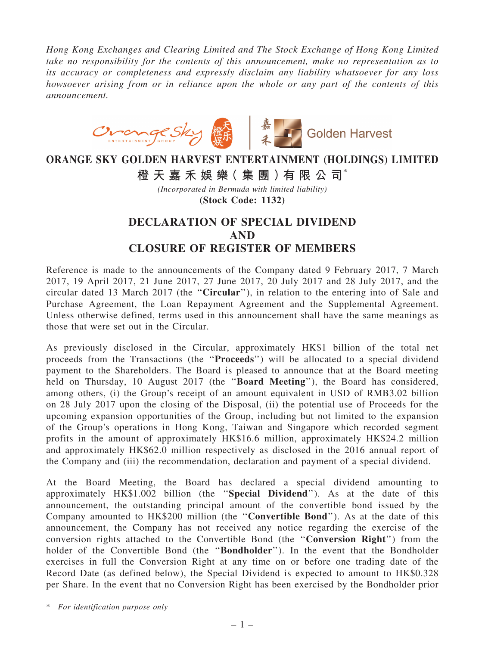*Hong Kong Exchanges and Clearing Limited and The Stock Exchange of Hong Kong Limited take no responsibility for the contents of this announcement, make no representation as to its accuracy or completeness and expressly disclaim any liability whatsoever for any loss howsoever arising from or in reliance upon the whole or any part of the contents of this announcement.*



## ORANGE SKY GOLDEN HARVEST ENTERTAINMENT (HOLDINGS) LIMITED 橙 天 嘉 禾 娛 樂 (集 團 ) 有 限 公 司 $^*$

*(Incorporated in Bermuda with limited liability)* (Stock Code: 1132)

## DECLARATION OF SPECIAL DIVIDEND AND CLOSURE OF REGISTER OF MEMBERS

Reference is made to the announcements of the Company dated 9 February 2017, 7 March 2017, 19 April 2017, 21 June 2017, 27 June 2017, 20 July 2017 and 28 July 2017, and the circular dated 13 March 2017 (the ''Circular''), in relation to the entering into of Sale and Purchase Agreement, the Loan Repayment Agreement and the Supplemental Agreement. Unless otherwise defined, terms used in this announcement shall have the same meanings as those that were set out in the Circular.

As previously disclosed in the Circular, approximately HK\$1 billion of the total net proceeds from the Transactions (the ''Proceeds'') will be allocated to a special dividend payment to the Shareholders. The Board is pleased to announce that at the Board meeting held on Thursday, 10 August 2017 (the "Board Meeting"), the Board has considered, among others, (i) the Group's receipt of an amount equivalent in USD of RMB3.02 billion on 28 July 2017 upon the closing of the Disposal, (ii) the potential use of Proceeds for the upcoming expansion opportunities of the Group, including but not limited to the expansion of the Group's operations in Hong Kong, Taiwan and Singapore which recorded segment profits in the amount of approximately HK\$16.6 million, approximately HK\$24.2 million and approximately HK\$62.0 million respectively as disclosed in the 2016 annual report of the Company and (iii) the recommendation, declaration and payment of a special dividend.

At the Board Meeting, the Board has declared a special dividend amounting to approximately HK\$1.002 billion (the ''Special Dividend''). As at the date of this announcement, the outstanding principal amount of the convertible bond issued by the Company amounted to HK\$200 million (the ''Convertible Bond''). As at the date of this announcement, the Company has not received any notice regarding the exercise of the conversion rights attached to the Convertible Bond (the ''Conversion Right'') from the holder of the Convertible Bond (the ''Bondholder''). In the event that the Bondholder exercises in full the Conversion Right at any time on or before one trading date of the Record Date (as defined below), the Special Dividend is expected to amount to HK\$0.328 per Share. In the event that no Conversion Right has been exercised by the Bondholder prior

\* *For identification purpose only*